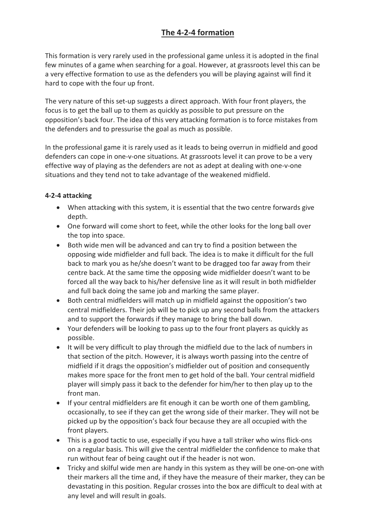## **The 4-2-4 formation**

This formation is very rarely used in the professional game unless it is adopted in the final few minutes of a game when searching for a goal. However, at grassroots level this can be a very effective formation to use as the defenders you will be playing against will find it hard to cope with the four up front.

The very nature of this set-up suggests a direct approach. With four front players, the focus is to get the ball up to them as quickly as possible to put pressure on the opposition's back four. The idea of this very attacking formation is to force mistakes from the defenders and to pressurise the goal as much as possible.

In the professional game it is rarely used as it leads to being overrun in midfield and good defenders can cope in one-v-one situations. At grassroots level it can prove to be a very effective way of playing as the defenders are not as adept at dealing with one-v-one situations and they tend not to take advantage of the weakened midfield.

## **4-2-4 attacking**

- When attacking with this system, it is essential that the two centre forwards give depth.
- One forward will come short to feet, while the other looks for the long ball over the top into space.
- Both wide men will be advanced and can try to find a position between the opposing wide midfielder and full back. The idea is to make it difficult for the full back to mark you as he/she doesn't want to be dragged too far away from their centre back. At the same time the opposing wide midfielder doesn't want to be forced all the way back to his/her defensive line as it will result in both midfielder and full back doing the same job and marking the same player.
- Both central midfielders will match up in midfield against the opposition's two central midfielders. Their job will be to pick up any second balls from the attackers and to support the forwards if they manage to bring the ball down.
- Your defenders will be looking to pass up to the four front players as quickly as possible.
- It will be very difficult to play through the midfield due to the lack of numbers in that section of the pitch. However, it is always worth passing into the centre of midfield if it drags the opposition's midfielder out of position and consequently makes more space for the front men to get hold of the ball. Your central midfield player will simply pass it back to the defender for him/her to then play up to the front man.
- If your central midfielders are fit enough it can be worth one of them gambling, occasionally, to see if they can get the wrong side of their marker. They will not be picked up by the opposition's back four because they are all occupied with the front players.
- This is a good tactic to use, especially if you have a tall striker who wins flick-ons on a regular basis. This will give the central midfielder the confidence to make that run without fear of being caught out if the header is not won.
- Tricky and skilful wide men are handy in this system as they will be one-on-one with their markers all the time and, if they have the measure of their marker, they can be devastating in this position. Regular crosses into the box are difficult to deal with at any level and will result in goals.